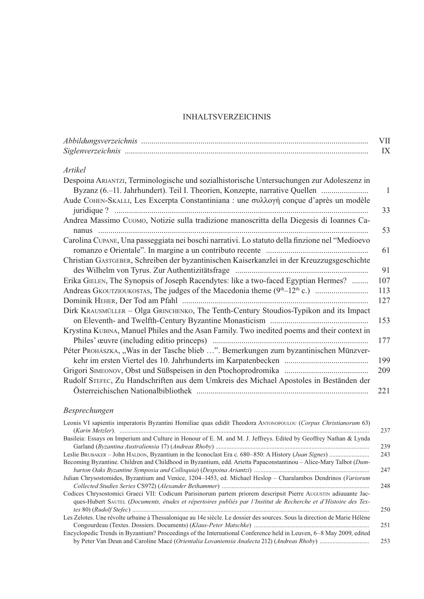## **INHALTSVERZEICHNIS**

|                                                                                                                                                                         | VII          |
|-------------------------------------------------------------------------------------------------------------------------------------------------------------------------|--------------|
|                                                                                                                                                                         | IX           |
| Artikel                                                                                                                                                                 |              |
| Despoina ARIANTZI, Terminologische und sozialhistorische Untersuchungen zur Adoleszenz in<br>Byzanz (6.–11. Jahrhundert). Teil I. Theorien, Konzepte, narrative Quellen | $\mathbf{1}$ |
| Aude COHEN-SKALLI, Les Excerpta Constantiniana : une συλλογή conçue d'après un modèle                                                                                   | 33           |
| Andrea Massimo CUOMO, Notizie sulla tradizione manoscritta della Diegesis di Ioannes Ca-                                                                                |              |
|                                                                                                                                                                         | 53           |
| Carolina CUPANE, Una passeggiata nei boschi narrativi. Lo statuto della finzione nel "Medioevo                                                                          | 61           |
| Christian GASTGEBER, Schreiben der byzantinischen Kaiserkanzlei in der Kreuzzugsgeschichte                                                                              |              |
|                                                                                                                                                                         | 91           |
| Erika GIELEN, The Synopsis of Joseph Racendytes: like a two-faced Egyptian Hermes?                                                                                      | 107          |
|                                                                                                                                                                         | 113          |
|                                                                                                                                                                         | 127          |
| Dirk KRAUSMÜLLER - Olga GRINCHENKO, The Tenth-Century Stoudios-Typikon and its Impact                                                                                   |              |
|                                                                                                                                                                         | 153          |
| Krystina KUBINA, Manuel Philes and the Asan Family. Two inedited poems and their context in                                                                             |              |
|                                                                                                                                                                         | 177          |
| Péter Prohászka, "Was in der Tasche blieb ". Bemerkungen zum byzantinischen Münzver-                                                                                    |              |
|                                                                                                                                                                         | 199          |
|                                                                                                                                                                         | 209          |
| Rudolf STEFEC, Zu Handschriften aus dem Umkreis des Michael Apostoles in Beständen der                                                                                  |              |
|                                                                                                                                                                         | 221          |
|                                                                                                                                                                         |              |

## Besprechungen

| Leonis VI sapientis imperatoris Byzantini Homiliae quas edidit Theodora ANTONOPOULOU (Corpus Christianorum 63)            |     |
|---------------------------------------------------------------------------------------------------------------------------|-----|
|                                                                                                                           | 237 |
| Basileia: Essays on Imperium and Culture in Honour of E. M. and M. J. Jeffreys. Edited by Geoffrey Nathan & Lynda         |     |
|                                                                                                                           | 239 |
|                                                                                                                           | 243 |
| Becoming Byzantine. Children and Childhood in Byzantium, edd. Arietta Papaconstantinou - Alice-Mary Talbot (Dum-          |     |
|                                                                                                                           | 247 |
| Julian Chrysostomides, Byzantium and Venice, 1204-1453, ed. Michael Heslop - Charalambos Dendrinos (Variorum              |     |
|                                                                                                                           | 248 |
| Codices Chrysostomici Graeci VII: Codicum Parisinorum partem priorem descripsit Pierre AUGUSTIN adiuuante Jac-            |     |
| ques-Hubert SAUTEL (Documents, études et répertoires publiés par l'Institut de Recherche et d'Histoire des Tex-           |     |
|                                                                                                                           | 250 |
| Les Zelotes. Une révolte urbaine à Thessalonique au 14e siècle. Le dossier des sources. Sous la direction de Marie Hélène |     |
|                                                                                                                           | 251 |
| Encyclopedic Trends in Byzantium? Proceedings of the International Conference held in Leuven, 6–8 May 2009, edited        |     |
|                                                                                                                           | 253 |